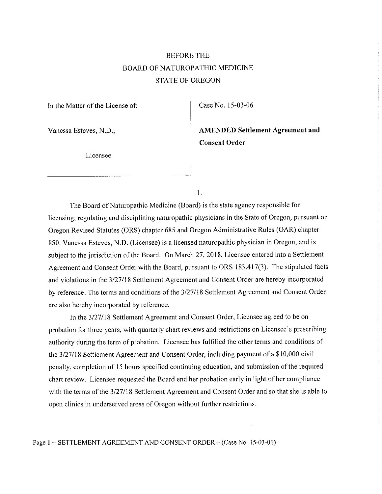## BEFORE THE BOARD OF NATUROPATHIC MEDICINE STATE OF OREGON

In the Matter of the License of:

Case No. 15-03-06

Vanessa Esteves, N.D.,

Licensee.

Consent Order AMENDED Settlement Agreement and

1.

The Board of Naturopathic Medicine (Board) is the state agency responsible for licensing, regulating and disciplining naturopathic physicians in the State of Oregon, pursuant or Oregon Revised Statutes (ORS) chapter 685 and Oregon Administrative Rules (OAR) chapter 850. Vanessa Esteves, N.D. (Licensee) is a licensed naturopathic physician in Oregon, and is subject to the jurisdiction of the Board. On March 27, 2018, Licensee entered into a Settlement Agreement and Consent Order with the Board, pursuant to ORS 183.417(3). The stipulated facts and violations in the 3/27/1 8 Settlement Agreement and Consent Order are hereby incorporated by reference. The terms and conditions of the 3/27/18 Settlement Agreement and Consent Order are also hereby incorporated by reference.

In the 3/27/18 Settlement Agreement and Consent Order, Licensee agreed to be on probation for three years, with quarterly chart reviews and restrictions on Licensee's prescribing authority during the term of probation. Licensee has fulfilled the other terms and conditions of the 3/27/18 Settlement Agreement and Consent Order, including payment of a \$10,000 civil penalty, completion of 15 hours specified continuing education, and submission of the required chart review. Licensee requested the Board end her probation early in light of her compliance with the terms of the 3/27/18 Settlement Agreement and Consent Order and so that she is able to open clinics in underserved areas of Oregon without further restrictions.

Page 1 - SETTLEMENT AGREEMENT AND CONSENT ORDER - (Case No. 15-03-06)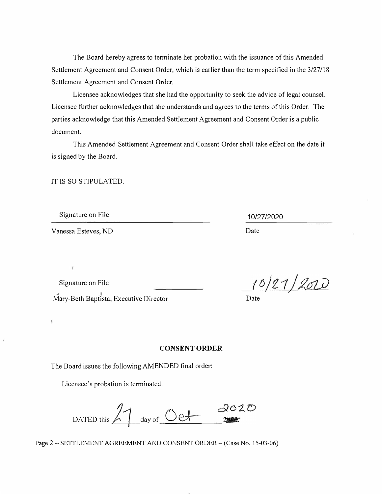The Board hereby agrees to terminate her probation with the issuance of this Amended Settlement Agreement and Consent Order, which is earlier than the term specified in the 3/27/18 Settlement Agreement and Consent Order.

Licensee acknowledges that she had the opportunity to seek the advice of legal counsel. Licensee further acknowledges that she understands and agrees to the terms of this Order. The parties acknowledge that this Amended Settlement Agreement and Consent Order is a public document.

This Amended Settlement Agreement and Consent Order shall take effect on the date it is signed by the Board.

IT IS SO STIPULATED.

Signature on File

Vanessa Esteves, ND Date

ī

10/27/2020

Mary-Beth Baptista, Executive Director **Example 20** Date Signature on File

10/21/2020

## **CONSENT ORDER**

The Board issues the following AMENDED final order:

Licensee's probation is terminated.

2020 DATED this  $\frac{2}{\sqrt{1-\frac{1}{2}}}\$ 

Page 2 - SETTLEMENT AGREEMENT AND CONSENT ORDER - (Case No. 15-03-06)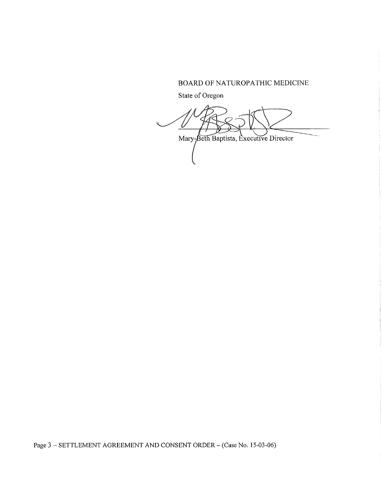## BOARD OF NATUROPATHIC MEDICINE

State of Oregon

Mary-Beth Baptista, Executive Director

Page 3 - SETTLEMENT AGREEMENT AND CONSENT ORDER - (Case No. 15-03-06)